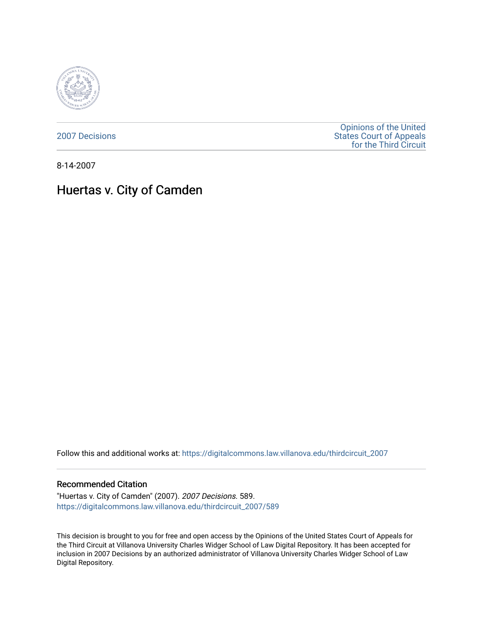

[2007 Decisions](https://digitalcommons.law.villanova.edu/thirdcircuit_2007)

[Opinions of the United](https://digitalcommons.law.villanova.edu/thirdcircuit)  [States Court of Appeals](https://digitalcommons.law.villanova.edu/thirdcircuit)  [for the Third Circuit](https://digitalcommons.law.villanova.edu/thirdcircuit) 

8-14-2007

# Huertas v. City of Camden

Follow this and additional works at: [https://digitalcommons.law.villanova.edu/thirdcircuit\\_2007](https://digitalcommons.law.villanova.edu/thirdcircuit_2007?utm_source=digitalcommons.law.villanova.edu%2Fthirdcircuit_2007%2F589&utm_medium=PDF&utm_campaign=PDFCoverPages) 

#### Recommended Citation

"Huertas v. City of Camden" (2007). 2007 Decisions. 589. [https://digitalcommons.law.villanova.edu/thirdcircuit\\_2007/589](https://digitalcommons.law.villanova.edu/thirdcircuit_2007/589?utm_source=digitalcommons.law.villanova.edu%2Fthirdcircuit_2007%2F589&utm_medium=PDF&utm_campaign=PDFCoverPages)

This decision is brought to you for free and open access by the Opinions of the United States Court of Appeals for the Third Circuit at Villanova University Charles Widger School of Law Digital Repository. It has been accepted for inclusion in 2007 Decisions by an authorized administrator of Villanova University Charles Widger School of Law Digital Repository.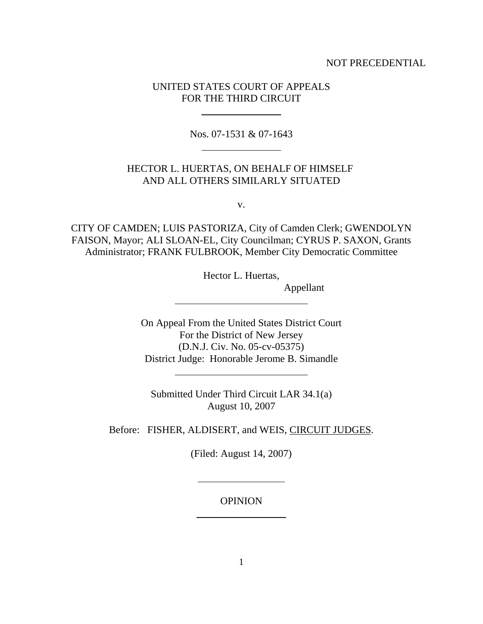## NOT PRECEDENTIAL

# UNITED STATES COURT OF APPEALS FOR THE THIRD CIRCUIT

l

 $\overline{a}$ 

 $\overline{a}$ 

 $\overline{a}$ 

l

 $\overline{\phantom{a}}$ 

Nos. 07-1531 & 07-1643

# HECTOR L. HUERTAS, ON BEHALF OF HIMSELF AND ALL OTHERS SIMILARLY SITUATED

v.

CITY OF CAMDEN; LUIS PASTORIZA, City of Camden Clerk; GWENDOLYN FAISON, Mayor; ALI SLOAN-EL, City Councilman; CYRUS P. SAXON, Grants Administrator; FRANK FULBROOK, Member City Democratic Committee

Hector L. Huertas,

Appellant

On Appeal From the United States District Court For the District of New Jersey (D.N.J. Civ. No. 05-cv-05375) District Judge: Honorable Jerome B. Simandle

Submitted Under Third Circuit LAR 34.1(a) August 10, 2007

Before: FISHER, ALDISERT, and WEIS, CIRCUIT JUDGES.

(Filed: August 14, 2007)

**OPINION**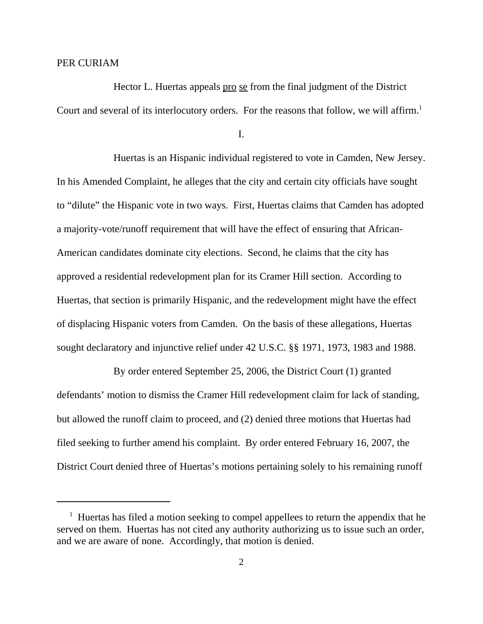#### PER CURIAM

Hector L. Huertas appeals pro se from the final judgment of the District Court and several of its interlocutory orders. For the reasons that follow, we will affirm.<sup>1</sup>

I.

Huertas is an Hispanic individual registered to vote in Camden, New Jersey. In his Amended Complaint, he alleges that the city and certain city officials have sought to "dilute" the Hispanic vote in two ways. First, Huertas claims that Camden has adopted a majority-vote/runoff requirement that will have the effect of ensuring that African-American candidates dominate city elections. Second, he claims that the city has approved a residential redevelopment plan for its Cramer Hill section. According to Huertas, that section is primarily Hispanic, and the redevelopment might have the effect of displacing Hispanic voters from Camden. On the basis of these allegations, Huertas sought declaratory and injunctive relief under 42 U.S.C. §§ 1971, 1973, 1983 and 1988.

By order entered September 25, 2006, the District Court (1) granted defendants' motion to dismiss the Cramer Hill redevelopment claim for lack of standing, but allowed the runoff claim to proceed, and (2) denied three motions that Huertas had filed seeking to further amend his complaint. By order entered February 16, 2007, the District Court denied three of Huertas's motions pertaining solely to his remaining runoff

<sup>&</sup>lt;sup>1</sup> Huertas has filed a motion seeking to compel appellees to return the appendix that he served on them. Huertas has not cited any authority authorizing us to issue such an order, and we are aware of none. Accordingly, that motion is denied.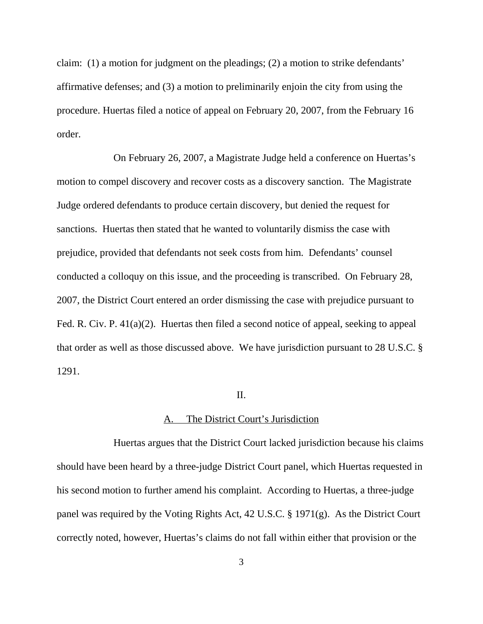claim: (1) a motion for judgment on the pleadings; (2) a motion to strike defendants' affirmative defenses; and (3) a motion to preliminarily enjoin the city from using the procedure. Huertas filed a notice of appeal on February 20, 2007, from the February 16 order.

On February 26, 2007, a Magistrate Judge held a conference on Huertas's motion to compel discovery and recover costs as a discovery sanction. The Magistrate Judge ordered defendants to produce certain discovery, but denied the request for sanctions. Huertas then stated that he wanted to voluntarily dismiss the case with prejudice, provided that defendants not seek costs from him. Defendants' counsel conducted a colloquy on this issue, and the proceeding is transcribed. On February 28, 2007, the District Court entered an order dismissing the case with prejudice pursuant to Fed. R. Civ. P. 41(a)(2). Huertas then filed a second notice of appeal, seeking to appeal that order as well as those discussed above. We have jurisdiction pursuant to 28 U.S.C. § 1291.

# II.

## A. The District Court's Jurisdiction

Huertas argues that the District Court lacked jurisdiction because his claims should have been heard by a three-judge District Court panel, which Huertas requested in his second motion to further amend his complaint. According to Huertas, a three-judge panel was required by the Voting Rights Act, 42 U.S.C. § 1971(g). As the District Court correctly noted, however, Huertas's claims do not fall within either that provision or the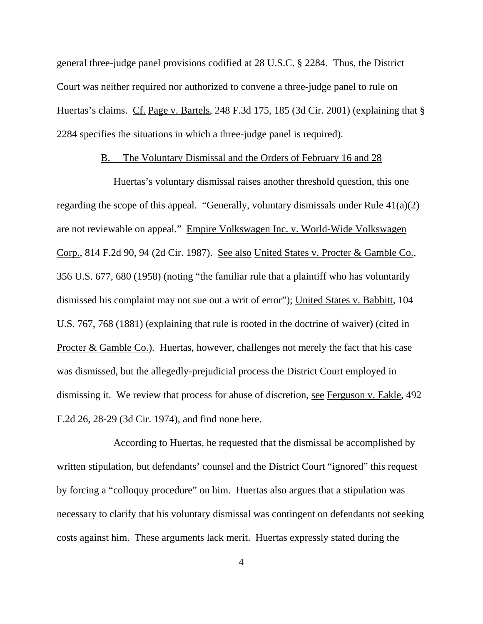general three-judge panel provisions codified at 28 U.S.C. § 2284. Thus, the District Court was neither required nor authorized to convene a three-judge panel to rule on Huertas's claims. Cf. Page v. Bartels, 248 F.3d 175, 185 (3d Cir. 2001) (explaining that § 2284 specifies the situations in which a three-judge panel is required).

#### B. The Voluntary Dismissal and the Orders of February 16 and 28

Huertas's voluntary dismissal raises another threshold question, this one regarding the scope of this appeal. "Generally, voluntary dismissals under Rule 41(a)(2) are not reviewable on appeal." Empire Volkswagen Inc. v. World-Wide Volkswagen Corp., 814 F.2d 90, 94 (2d Cir. 1987). See also United States v. Procter & Gamble Co., 356 U.S. 677, 680 (1958) (noting "the familiar rule that a plaintiff who has voluntarily dismissed his complaint may not sue out a writ of error"); United States v. Babbitt, 104 U.S. 767, 768 (1881) (explaining that rule is rooted in the doctrine of waiver) (cited in Procter & Gamble Co.). Huertas, however, challenges not merely the fact that his case was dismissed, but the allegedly-prejudicial process the District Court employed in dismissing it. We review that process for abuse of discretion, see Ferguson v. Eakle, 492 F.2d 26, 28-29 (3d Cir. 1974), and find none here.

According to Huertas, he requested that the dismissal be accomplished by written stipulation, but defendants' counsel and the District Court "ignored" this request by forcing a "colloquy procedure" on him. Huertas also argues that a stipulation was necessary to clarify that his voluntary dismissal was contingent on defendants not seeking costs against him. These arguments lack merit. Huertas expressly stated during the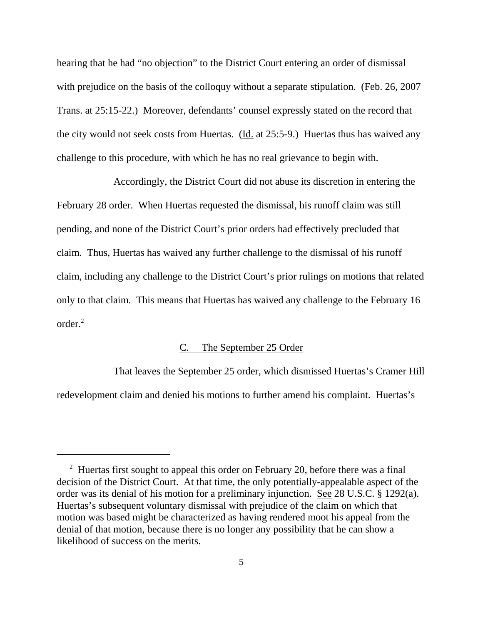hearing that he had "no objection" to the District Court entering an order of dismissal with prejudice on the basis of the colloquy without a separate stipulation. (Feb. 26, 2007) Trans. at 25:15-22.) Moreover, defendants' counsel expressly stated on the record that the city would not seek costs from Huertas. (Id. at 25:5-9.) Huertas thus has waived any challenge to this procedure, with which he has no real grievance to begin with.

Accordingly, the District Court did not abuse its discretion in entering the February 28 order. When Huertas requested the dismissal, his runoff claim was still pending, and none of the District Court's prior orders had effectively precluded that claim. Thus, Huertas has waived any further challenge to the dismissal of his runoff claim, including any challenge to the District Court's prior rulings on motions that related only to that claim. This means that Huertas has waived any challenge to the February 16 order.2

# C. The September 25 Order

That leaves the September 25 order, which dismissed Huertas's Cramer Hill redevelopment claim and denied his motions to further amend his complaint. Huertas's

<sup>&</sup>lt;sup>2</sup> Huertas first sought to appeal this order on February 20, before there was a final decision of the District Court. At that time, the only potentially-appealable aspect of the order was its denial of his motion for a preliminary injunction. See 28 U.S.C. § 1292(a). Huertas's subsequent voluntary dismissal with prejudice of the claim on which that motion was based might be characterized as having rendered moot his appeal from the denial of that motion, because there is no longer any possibility that he can show a likelihood of success on the merits.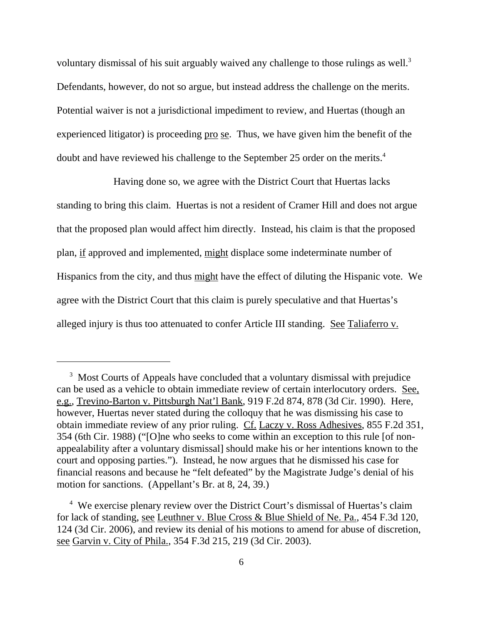voluntary dismissal of his suit arguably waived any challenge to those rulings as well.<sup>3</sup> Defendants, however, do not so argue, but instead address the challenge on the merits. Potential waiver is not a jurisdictional impediment to review, and Huertas (though an experienced litigator) is proceeding pro se. Thus, we have given him the benefit of the doubt and have reviewed his challenge to the September 25 order on the merits.4

Having done so, we agree with the District Court that Huertas lacks standing to bring this claim. Huertas is not a resident of Cramer Hill and does not argue that the proposed plan would affect him directly. Instead, his claim is that the proposed plan, if approved and implemented, might displace some indeterminate number of Hispanics from the city, and thus might have the effect of diluting the Hispanic vote. We agree with the District Court that this claim is purely speculative and that Huertas's alleged injury is thus too attenuated to confer Article III standing. See Taliaferro v.

<sup>&</sup>lt;sup>3</sup> Most Courts of Appeals have concluded that a voluntary dismissal with prejudice can be used as a vehicle to obtain immediate review of certain interlocutory orders. See, e.g., Trevino-Barton v. Pittsburgh Nat'l Bank, 919 F.2d 874, 878 (3d Cir. 1990). Here, however, Huertas never stated during the colloquy that he was dismissing his case to obtain immediate review of any prior ruling. Cf. Laczy v. Ross Adhesives, 855 F.2d 351, 354 (6th Cir. 1988) ("[O]ne who seeks to come within an exception to this rule [of nonappealability after a voluntary dismissal] should make his or her intentions known to the court and opposing parties."). Instead, he now argues that he dismissed his case for financial reasons and because he "felt defeated" by the Magistrate Judge's denial of his motion for sanctions. (Appellant's Br. at 8, 24, 39.)

 <sup>4</sup> We exercise plenary review over the District Court's dismissal of Huertas's claim for lack of standing, see Leuthner v. Blue Cross & Blue Shield of Ne. Pa., 454 F.3d 120, 124 (3d Cir. 2006), and review its denial of his motions to amend for abuse of discretion, see Garvin v. City of Phila., 354 F.3d 215, 219 (3d Cir. 2003).